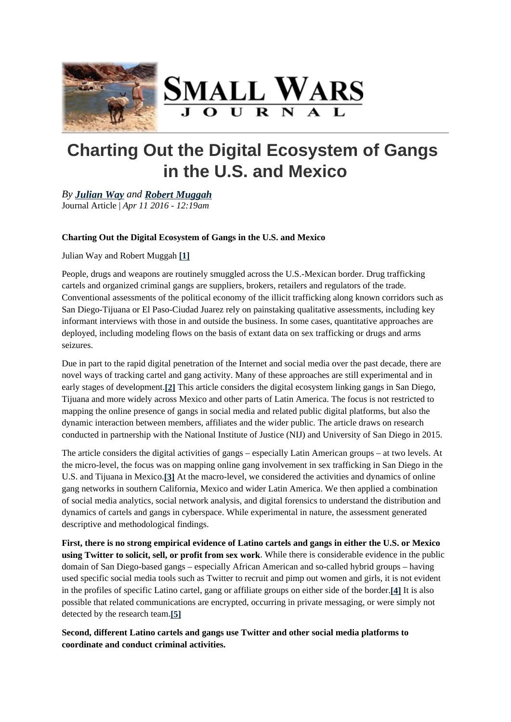

# **Charting Out the Digital Ecosystem of Gangs in the U.S. and Mexico**

*By Julian Way and Robert Muggah* Journal Article | *Apr 11 2016 - 12:19am*

# **Charting Out the Digital Ecosystem of Gangs in the U.S. and Mexico**

Julian Way and Robert Muggah **[1]**

People, drugs and weapons are routinely smuggled across the U.S.-Mexican border. Drug trafficking cartels and organized criminal gangs are suppliers, brokers, retailers and regulators of the trade. Conventional assessments of the political economy of the illicit trafficking along known corridors such as San Diego-Tijuana or El Paso-Ciudad Juarez rely on painstaking qualitative assessments, including key informant interviews with those in and outside the business. In some cases, quantitative approaches are deployed, including modeling flows on the basis of extant data on sex trafficking or drugs and arms seizures.

Due in part to the rapid digital penetration of the Internet and social media over the past decade, there are novel ways of tracking cartel and gang activity. Many of these approaches are still experimental and in early stages of development.**[2]** This article considers the digital ecosystem linking gangs in San Diego, Tijuana and more widely across Mexico and other parts of Latin America. The focus is not restricted to mapping the online presence of gangs in social media and related public digital platforms, but also the dynamic interaction between members, affiliates and the wider public. The article draws on research conducted in partnership with the National Institute of Justice (NIJ) and University of San Diego in 2015.

The article considers the digital activities of gangs – especially Latin American groups – at two levels. At the micro-level, the focus was on mapping online gang involvement in sex trafficking in San Diego in the U.S. and Tijuana in Mexico.**[3]** At the macro-level, we considered the activities and dynamics of online gang networks in southern California, Mexico and wider Latin America. We then applied a combination of social media analytics, social network analysis, and digital forensics to understand the distribution and dynamics of cartels and gangs in cyberspace. While experimental in nature, the assessment generated descriptive and methodological findings.

**First, there is no strong empirical evidence of Latino cartels and gangs in either the U.S. or Mexico using Twitter to solicit, sell, or profit from sex work**. While there is considerable evidence in the public domain of San Diego-based gangs – especially African American and so-called hybrid groups – having used specific social media tools such as Twitter to recruit and pimp out women and girls, it is not evident in the profiles of specific Latino cartel, gang or affiliate groups on either side of the border.**[4]** It is also possible that related communications are encrypted, occurring in private messaging, or were simply not detected by the research team.**[5]**

**Second, different Latino cartels and gangs use Twitter and other social media platforms to coordinate and conduct criminal activities.**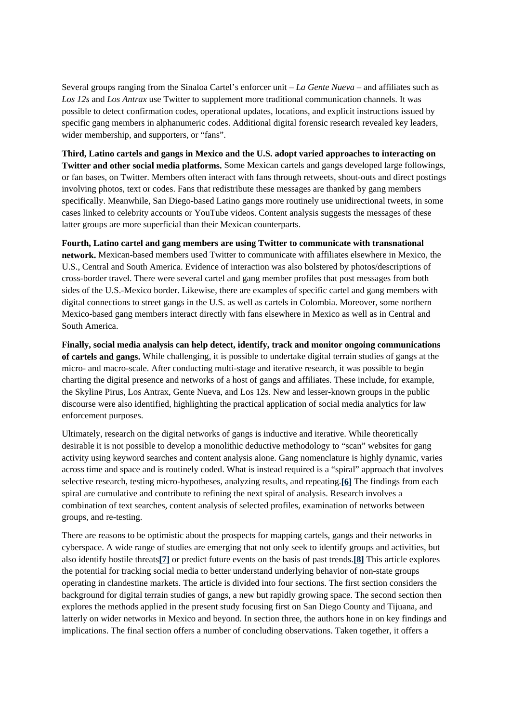Several groups ranging from the Sinaloa Cartel's enforcer unit – *La Gente Nueva* – and affiliates such as *Los 12s* and *Los Antrax* use Twitter to supplement more traditional communication channels. It was possible to detect confirmation codes, operational updates, locations, and explicit instructions issued by specific gang members in alphanumeric codes. Additional digital forensic research revealed key leaders, wider membership, and supporters, or "fans".

**Third, Latino cartels and gangs in Mexico and the U.S. adopt varied approaches to interacting on Twitter and other social media platforms.** Some Mexican cartels and gangs developed large followings, or fan bases, on Twitter. Members often interact with fans through retweets, shout-outs and direct postings involving photos, text or codes. Fans that redistribute these messages are thanked by gang members specifically. Meanwhile, San Diego-based Latino gangs more routinely use unidirectional tweets, in some cases linked to celebrity accounts or YouTube videos. Content analysis suggests the messages of these latter groups are more superficial than their Mexican counterparts.

**Fourth, Latino cartel and gang members are using Twitter to communicate with transnational network.** Mexican-based members used Twitter to communicate with affiliates elsewhere in Mexico, the U.S., Central and South America. Evidence of interaction was also bolstered by photos/descriptions of cross-border travel. There were several cartel and gang member profiles that post messages from both sides of the U.S.-Mexico border. Likewise, there are examples of specific cartel and gang members with digital connections to street gangs in the U.S. as well as cartels in Colombia. Moreover, some northern Mexico-based gang members interact directly with fans elsewhere in Mexico as well as in Central and South America.

**Finally, social media analysis can help detect, identify, track and monitor ongoing communications of cartels and gangs.** While challenging, it is possible to undertake digital terrain studies of gangs at the micro- and macro-scale. After conducting multi-stage and iterative research, it was possible to begin charting the digital presence and networks of a host of gangs and affiliates. These include, for example, the Skyline Pirus, Los Antrax, Gente Nueva, and Los 12s. New and lesser-known groups in the public discourse were also identified, highlighting the practical application of social media analytics for law enforcement purposes.

Ultimately, research on the digital networks of gangs is inductive and iterative. While theoretically desirable it is not possible to develop a monolithic deductive methodology to "scan" websites for gang activity using keyword searches and content analysis alone. Gang nomenclature is highly dynamic, varies across time and space and is routinely coded. What is instead required is a "spiral" approach that involves selective research, testing micro-hypotheses, analyzing results, and repeating.**[6]** The findings from each spiral are cumulative and contribute to refining the next spiral of analysis. Research involves a combination of text searches, content analysis of selected profiles, examination of networks between groups, and re-testing.

There are reasons to be optimistic about the prospects for mapping cartels, gangs and their networks in cyberspace. A wide range of studies are emerging that not only seek to identify groups and activities, but also identify hostile threats**[7]** or predict future events on the basis of past trends.**[8]** This article explores the potential for tracking social media to better understand underlying behavior of non-state groups operating in clandestine markets. The article is divided into four sections. The first section considers the background for digital terrain studies of gangs, a new but rapidly growing space. The second section then explores the methods applied in the present study focusing first on San Diego County and Tijuana, and latterly on wider networks in Mexico and beyond. In section three, the authors hone in on key findings and implications. The final section offers a number of concluding observations. Taken together, it offers a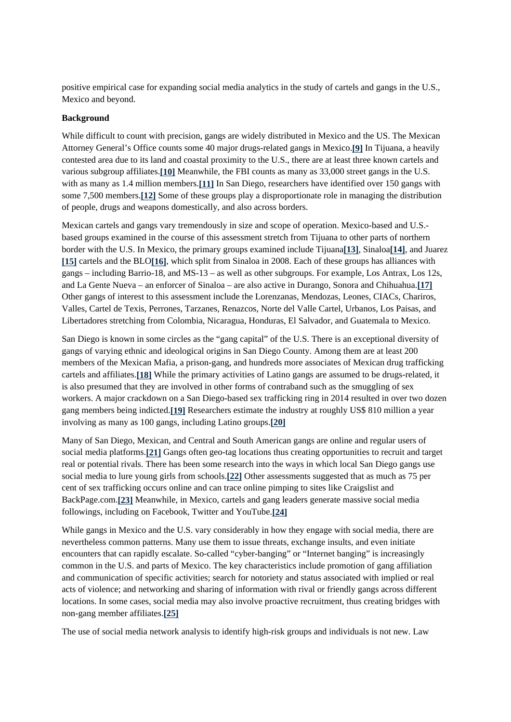positive empirical case for expanding social media analytics in the study of cartels and gangs in the U.S., Mexico and beyond.

#### **Background**

While difficult to count with precision, gangs are widely distributed in Mexico and the US. The Mexican Attorney General's Office counts some 40 major drugs-related gangs in Mexico.**[9]** In Tijuana, a heavily contested area due to its land and coastal proximity to the U.S., there are at least three known cartels and various subgroup affiliates.**[10]** Meanwhile, the FBI counts as many as 33,000 street gangs in the U.S. with as many as 1.4 million members.**[11]** In San Diego, researchers have identified over 150 gangs with some 7,500 members.**[12]** Some of these groups play a disproportionate role in managing the distribution of people, drugs and weapons domestically, and also across borders.

Mexican cartels and gangs vary tremendously in size and scope of operation. Mexico-based and U.S. based groups examined in the course of this assessment stretch from Tijuana to other parts of northern border with the U.S. In Mexico, the primary groups examined include Tijuana**[13]**, Sinaloa**[14]**, and Juarez **[15]** cartels and the BLO**[16]**, which split from Sinaloa in 2008. Each of these groups has alliances with gangs – including Barrio-18, and MS-13 – as well as other subgroups. For example, Los Antrax, Los 12s, and La Gente Nueva – an enforcer of Sinaloa – are also active in Durango, Sonora and Chihuahua.**[17]** Other gangs of interest to this assessment include the Lorenzanas, Mendozas, Leones, CIACs, Chariros, Valles, Cartel de Texis, Perrones, Tarzanes, Renazcos, Norte del Valle Cartel, Urbanos, Los Paisas, and Libertadores stretching from Colombia, Nicaragua, Honduras, El Salvador, and Guatemala to Mexico.

San Diego is known in some circles as the "gang capital" of the U.S. There is an exceptional diversity of gangs of varying ethnic and ideological origins in San Diego County. Among them are at least 200 members of the Mexican Mafia, a prison-gang, and hundreds more associates of Mexican drug trafficking cartels and affiliates.**[18]** While the primary activities of Latino gangs are assumed to be drugs-related, it is also presumed that they are involved in other forms of contraband such as the smuggling of sex workers. A major crackdown on a San Diego-based sex trafficking ring in 2014 resulted in over two dozen gang members being indicted.**[19]** Researchers estimate the industry at roughly US\$ 810 million a year involving as many as 100 gangs, including Latino groups.**[20]**

Many of San Diego, Mexican, and Central and South American gangs are online and regular users of social media platforms.**[21]** Gangs often geo-tag locations thus creating opportunities to recruit and target real or potential rivals. There has been some research into the ways in which local San Diego gangs use social media to lure young girls from schools.**[22]** Other assessments suggested that as much as 75 per cent of sex trafficking occurs online and can trace online pimping to sites like Craigslist and BackPage.com.**[23]** Meanwhile, in Mexico, cartels and gang leaders generate massive social media followings, including on Facebook, Twitter and YouTube.**[24]**

While gangs in Mexico and the U.S. vary considerably in how they engage with social media, there are nevertheless common patterns. Many use them to issue threats, exchange insults, and even initiate encounters that can rapidly escalate. So-called "cyber-banging" or "Internet banging" is increasingly common in the U.S. and parts of Mexico. The key characteristics include promotion of gang affiliation and communication of specific activities; search for notoriety and status associated with implied or real acts of violence; and networking and sharing of information with rival or friendly gangs across different locations. In some cases, social media may also involve proactive recruitment, thus creating bridges with non-gang member affiliates.**[25]**

The use of social media network analysis to identify high-risk groups and individuals is not new. Law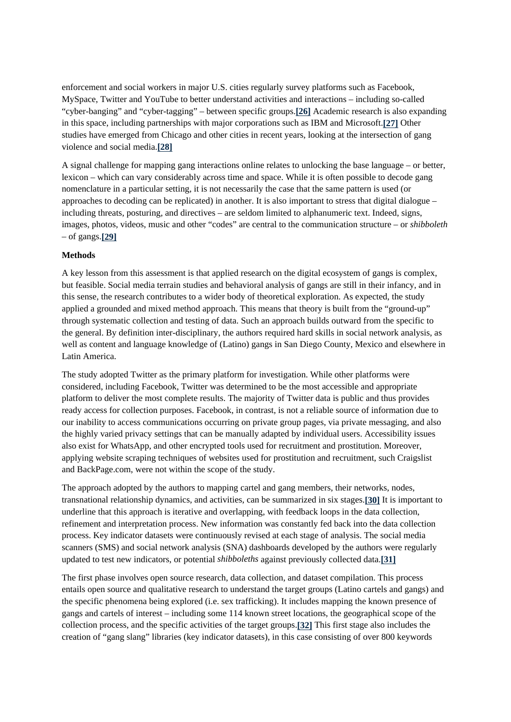enforcement and social workers in major U.S. cities regularly survey platforms such as Facebook, MySpace, Twitter and YouTube to better understand activities and interactions – including so-called "cyber-banging" and "cyber-tagging" – between specific groups.**[26]** Academic research is also expanding in this space, including partnerships with major corporations such as IBM and Microsoft.**[27]** Other studies have emerged from Chicago and other cities in recent years, looking at the intersection of gang violence and social media.**[28]**

A signal challenge for mapping gang interactions online relates to unlocking the base language – or better, lexicon – which can vary considerably across time and space. While it is often possible to decode gang nomenclature in a particular setting, it is not necessarily the case that the same pattern is used (or approaches to decoding can be replicated) in another. It is also important to stress that digital dialogue – including threats, posturing, and directives – are seldom limited to alphanumeric text. Indeed, signs, images, photos, videos, music and other "codes" are central to the communication structure – or *shibboleth* – of gangs.**[29]**

#### **Methods**

A key lesson from this assessment is that applied research on the digital ecosystem of gangs is complex, but feasible. Social media terrain studies and behavioral analysis of gangs are still in their infancy, and in this sense, the research contributes to a wider body of theoretical exploration. As expected, the study applied a grounded and mixed method approach. This means that theory is built from the "ground-up" through systematic collection and testing of data. Such an approach builds outward from the specific to the general. By definition inter-disciplinary, the authors required hard skills in social network analysis, as well as content and language knowledge of (Latino) gangs in San Diego County, Mexico and elsewhere in Latin America.

The study adopted Twitter as the primary platform for investigation. While other platforms were considered, including Facebook, Twitter was determined to be the most accessible and appropriate platform to deliver the most complete results. The majority of Twitter data is public and thus provides ready access for collection purposes. Facebook, in contrast, is not a reliable source of information due to our inability to access communications occurring on private group pages, via private messaging, and also the highly varied privacy settings that can be manually adapted by individual users. Accessibility issues also exist for WhatsApp, and other encrypted tools used for recruitment and prostitution. Moreover, applying website scraping techniques of websites used for prostitution and recruitment, such Craigslist and BackPage.com, were not within the scope of the study.

The approach adopted by the authors to mapping cartel and gang members, their networks, nodes, transnational relationship dynamics, and activities, can be summarized in six stages.**[30]** It is important to underline that this approach is iterative and overlapping, with feedback loops in the data collection, refinement and interpretation process. New information was constantly fed back into the data collection process. Key indicator datasets were continuously revised at each stage of analysis. The social media scanners (SMS) and social network analysis (SNA) dashboards developed by the authors were regularly updated to test new indicators, or potential *shibboleths* against previously collected data.**[31]**

The first phase involves open source research, data collection, and dataset compilation. This process entails open source and qualitative research to understand the target groups (Latino cartels and gangs) and the specific phenomena being explored (i.e. sex trafficking). It includes mapping the known presence of gangs and cartels of interest – including some 114 known street locations, the geographical scope of the collection process, and the specific activities of the target groups.**[32]** This first stage also includes the creation of "gang slang" libraries (key indicator datasets), in this case consisting of over 800 keywords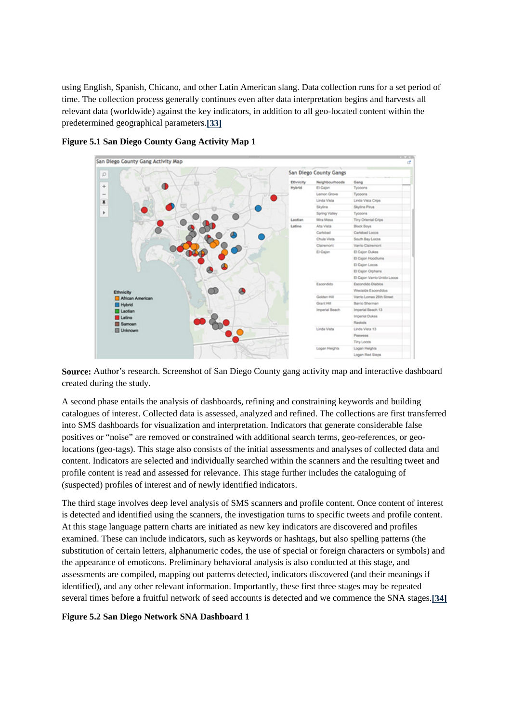using English, Spanish, Chicano, and other Latin American slang. Data collection runs for a set period of time. The collection process generally continues even after data interpretation begins and harvests all relevant data (worldwide) against the key indicators, in addition to all geo-located content within the predetermined geographical parameters.**[33]**



# **Figure 5.1 San Diego County Gang Activity Map 1**

**Source:** Author's research. Screenshot of San Diego County gang activity map and interactive dashboard created during the study.

A second phase entails the analysis of dashboards, refining and constraining keywords and building catalogues of interest. Collected data is assessed, analyzed and refined. The collections are first transferred into SMS dashboards for visualization and interpretation. Indicators that generate considerable false positives or "noise" are removed or constrained with additional search terms, geo-references, or geolocations (geo-tags). This stage also consists of the initial assessments and analyses of collected data and content. Indicators are selected and individually searched within the scanners and the resulting tweet and profile content is read and assessed for relevance. This stage further includes the cataloguing of (suspected) profiles of interest and of newly identified indicators.

The third stage involves deep level analysis of SMS scanners and profile content. Once content of interest is detected and identified using the scanners, the investigation turns to specific tweets and profile content. At this stage language pattern charts are initiated as new key indicators are discovered and profiles examined. These can include indicators, such as keywords or hashtags, but also spelling patterns (the substitution of certain letters, alphanumeric codes, the use of special or foreign characters or symbols) and the appearance of emoticons. Preliminary behavioral analysis is also conducted at this stage, and assessments are compiled, mapping out patterns detected, indicators discovered (and their meanings if identified), and any other relevant information. Importantly, these first three stages may be repeated several times before a fruitful network of seed accounts is detected and we commence the SNA stages.**[34]**

**Figure 5.2 San Diego Network SNA Dashboard 1**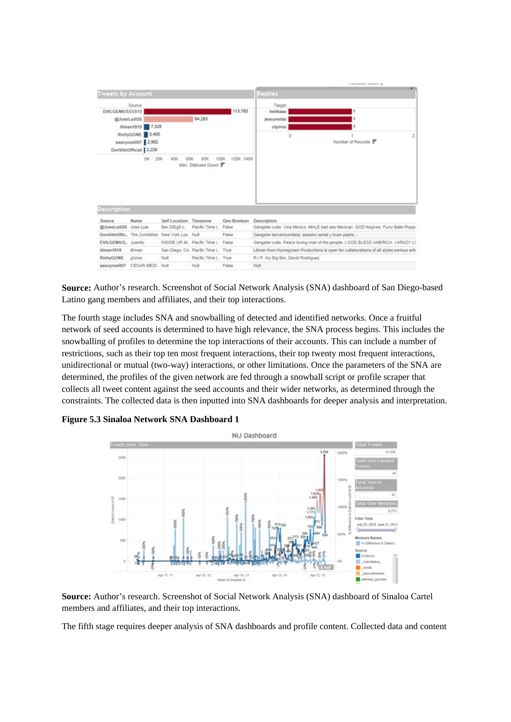

**Source:** Author's research. Screenshot of Social Network Analysis (SNA) dashboard of San Diego-based Latino gang members and affiliates, and their top interactions.

The fourth stage includes SNA and snowballing of detected and identified networks. Once a fruitful network of seed accounts is determined to have high relevance, the SNA process begins. This includes the snowballing of profiles to determine the top interactions of their accounts. This can include a number of restrictions, such as their top ten most frequent interactions, their top twenty most frequent interactions, unidirectional or mutual (two-way) interactions, or other limitations. Once the parameters of the SNA are determined, the profiles of the given network are fed through a snowball script or profile scraper that collects all tweet content against the seed accounts and their wider networks, as determined through the constraints. The collected data is then inputted into SNA dashboards for deeper analysis and interpretation.

**Figure 5.3 Sinaloa Network SNA Dashboard 1**



**Source:** Author's research. Screenshot of Social Network Analysis (SNA) dashboard of Sinaloa Cartel members and affiliates, and their top interactions.

The fifth stage requires deeper analysis of SNA dashboards and profile content. Collected data and content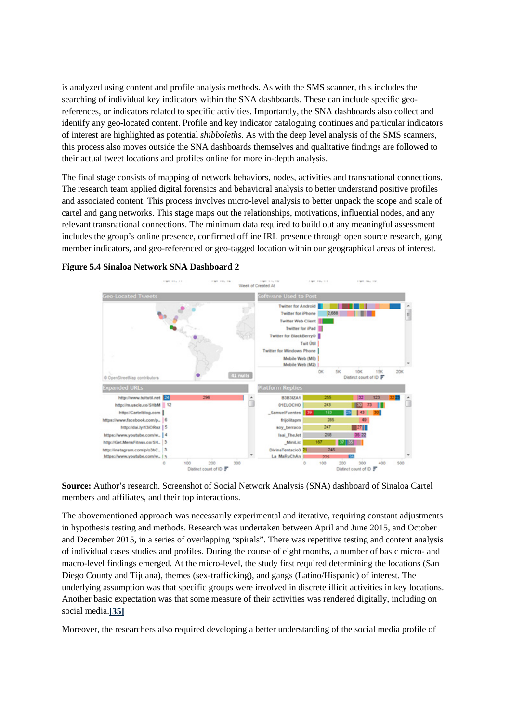is analyzed using content and profile analysis methods. As with the SMS scanner, this includes the searching of individual key indicators within the SNA dashboards. These can include specific georeferences, or indicators related to specific activities. Importantly, the SNA dashboards also collect and identify any geo-located content. Profile and key indicator cataloguing continues and particular indicators of interest are highlighted as potential *shibboleths*. As with the deep level analysis of the SMS scanners, this process also moves outside the SNA dashboards themselves and qualitative findings are followed to their actual tweet locations and profiles online for more in-depth analysis.

The final stage consists of mapping of network behaviors, nodes, activities and transnational connections. The research team applied digital forensics and behavioral analysis to better understand positive profiles and associated content. This process involves micro-level analysis to better unpack the scope and scale of cartel and gang networks. This stage maps out the relationships, motivations, influential nodes, and any relevant transnational connections. The minimum data required to build out any meaningful assessment includes the group's online presence, confirmed offline IRL presence through open source research, gang member indicators, and geo-referenced or geo-tagged location within our geographical areas of interest.



#### **Figure 5.4 Sinaloa Network SNA Dashboard 2**

**Source:** Author's research. Screenshot of Social Network Analysis (SNA) dashboard of Sinaloa Cartel members and affiliates, and their top interactions.

The abovementioned approach was necessarily experimental and iterative, requiring constant adjustments in hypothesis testing and methods. Research was undertaken between April and June 2015, and October and December 2015, in a series of overlapping "spirals". There was repetitive testing and content analysis of individual cases studies and profiles. During the course of eight months, a number of basic micro- and macro-level findings emerged. At the micro-level, the study first required determining the locations (San Diego County and Tijuana), themes (sex-trafficking), and gangs (Latino/Hispanic) of interest. The underlying assumption was that specific groups were involved in discrete illicit activities in key locations. Another basic expectation was that some measure of their activities was rendered digitally, including on social media.**[35]**

Moreover, the researchers also required developing a better understanding of the social media profile of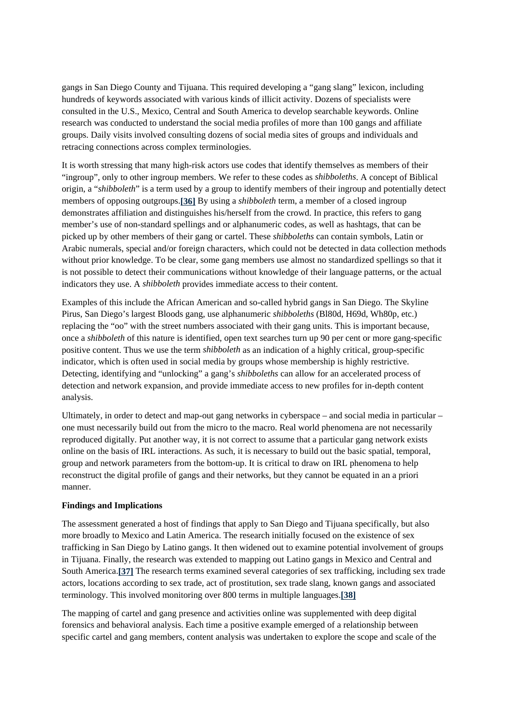gangs in San Diego County and Tijuana. This required developing a "gang slang" lexicon, including hundreds of keywords associated with various kinds of illicit activity. Dozens of specialists were consulted in the U.S., Mexico, Central and South America to develop searchable keywords. Online research was conducted to understand the social media profiles of more than 100 gangs and affiliate groups. Daily visits involved consulting dozens of social media sites of groups and individuals and retracing connections across complex terminologies.

It is worth stressing that many high-risk actors use codes that identify themselves as members of their "ingroup", only to other ingroup members. We refer to these codes as *shibboleths*. A concept of Biblical origin, a "*shibboleth*" is a term used by a group to identify members of their ingroup and potentially detect members of opposing outgroups.**[36]** By using a *shibboleth* term, a member of a closed ingroup demonstrates affiliation and distinguishes his/herself from the crowd. In practice, this refers to gang member's use of non-standard spellings and or alphanumeric codes, as well as hashtags, that can be picked up by other members of their gang or cartel. These *shibboleths* can contain symbols, Latin or Arabic numerals, special and/or foreign characters, which could not be detected in data collection methods without prior knowledge. To be clear, some gang members use almost no standardized spellings so that it is not possible to detect their communications without knowledge of their language patterns, or the actual indicators they use. A *shibboleth* provides immediate access to their content.

Examples of this include the African American and so-called hybrid gangs in San Diego. The Skyline Pirus, San Diego's largest Bloods gang, use alphanumeric *shibboleths* (Bl80d, H69d, Wh80p, etc.) replacing the "oo" with the street numbers associated with their gang units. This is important because, once a *shibboleth* of this nature is identified, open text searches turn up 90 per cent or more gang-specific positive content. Thus we use the term *shibboleth* as an indication of a highly critical, group-specific indicator, which is often used in social media by groups whose membership is highly restrictive. Detecting, identifying and "unlocking" a gang's *shibboleths* can allow for an accelerated process of detection and network expansion, and provide immediate access to new profiles for in-depth content analysis.

Ultimately, in order to detect and map-out gang networks in cyberspace – and social media in particular – one must necessarily build out from the micro to the macro. Real world phenomena are not necessarily reproduced digitally. Put another way, it is not correct to assume that a particular gang network exists online on the basis of IRL interactions. As such, it is necessary to build out the basic spatial, temporal, group and network parameters from the bottom-up. It is critical to draw on IRL phenomena to help reconstruct the digital profile of gangs and their networks, but they cannot be equated in an a priori manner.

## **Findings and Implications**

The assessment generated a host of findings that apply to San Diego and Tijuana specifically, but also more broadly to Mexico and Latin America. The research initially focused on the existence of sex trafficking in San Diego by Latino gangs. It then widened out to examine potential involvement of groups in Tijuana. Finally, the research was extended to mapping out Latino gangs in Mexico and Central and South America.**[37]** The research terms examined several categories of sex trafficking, including sex trade actors, locations according to sex trade, act of prostitution, sex trade slang, known gangs and associated terminology. This involved monitoring over 800 terms in multiple languages.**[38]**

The mapping of cartel and gang presence and activities online was supplemented with deep digital forensics and behavioral analysis. Each time a positive example emerged of a relationship between specific cartel and gang members, content analysis was undertaken to explore the scope and scale of the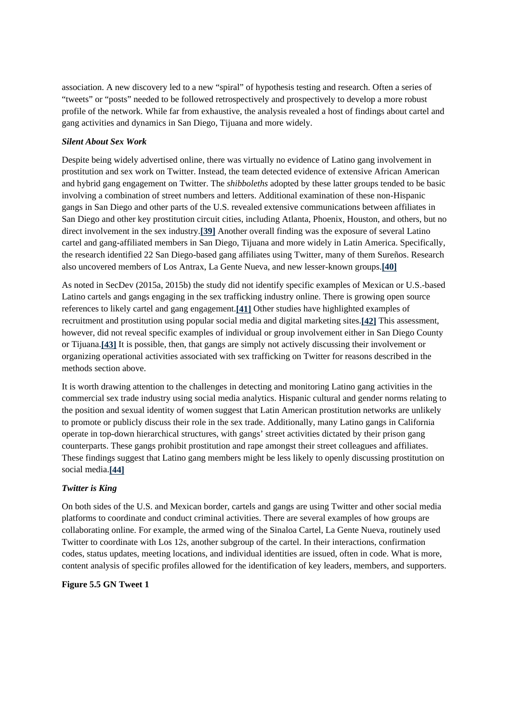association. A new discovery led to a new "spiral" of hypothesis testing and research. Often a series of "tweets" or "posts" needed to be followed retrospectively and prospectively to develop a more robust profile of the network. While far from exhaustive, the analysis revealed a host of findings about cartel and gang activities and dynamics in San Diego, Tijuana and more widely.

## *Silent About Sex Work*

Despite being widely advertised online, there was virtually no evidence of Latino gang involvement in prostitution and sex work on Twitter. Instead, the team detected evidence of extensive African American and hybrid gang engagement on Twitter. The *shibboleths* adopted by these latter groups tended to be basic involving a combination of street numbers and letters. Additional examination of these non-Hispanic gangs in San Diego and other parts of the U.S. revealed extensive communications between affiliates in San Diego and other key prostitution circuit cities, including Atlanta, Phoenix, Houston, and others, but no direct involvement in the sex industry.**[39]** Another overall finding was the exposure of several Latino cartel and gang-affiliated members in San Diego, Tijuana and more widely in Latin America. Specifically, the research identified 22 San Diego-based gang affiliates using Twitter, many of them Sureños. Research also uncovered members of Los Antrax, La Gente Nueva, and new lesser-known groups.**[40]**

As noted in SecDev (2015a, 2015b) the study did not identify specific examples of Mexican or U.S.-based Latino cartels and gangs engaging in the sex trafficking industry online. There is growing open source references to likely cartel and gang engagement.**[41]** Other studies have highlighted examples of recruitment and prostitution using popular social media and digital marketing sites.**[42]** This assessment, however, did not reveal specific examples of individual or group involvement either in San Diego County or Tijuana.**[43]** It is possible, then, that gangs are simply not actively discussing their involvement or organizing operational activities associated with sex trafficking on Twitter for reasons described in the methods section above.

It is worth drawing attention to the challenges in detecting and monitoring Latino gang activities in the commercial sex trade industry using social media analytics. Hispanic cultural and gender norms relating to the position and sexual identity of women suggest that Latin American prostitution networks are unlikely to promote or publicly discuss their role in the sex trade. Additionally, many Latino gangs in California operate in top-down hierarchical structures, with gangs' street activities dictated by their prison gang counterparts. These gangs prohibit prostitution and rape amongst their street colleagues and affiliates. These findings suggest that Latino gang members might be less likely to openly discussing prostitution on social media.**[44]**

## *Twitter is King*

On both sides of the U.S. and Mexican border, cartels and gangs are using Twitter and other social media platforms to coordinate and conduct criminal activities. There are several examples of how groups are collaborating online. For example, the armed wing of the Sinaloa Cartel, La Gente Nueva, routinely used Twitter to coordinate with Los 12s, another subgroup of the cartel. In their interactions, confirmation codes, status updates, meeting locations, and individual identities are issued, often in code. What is more, content analysis of specific profiles allowed for the identification of key leaders, members, and supporters.

## **Figure 5.5 GN Tweet 1**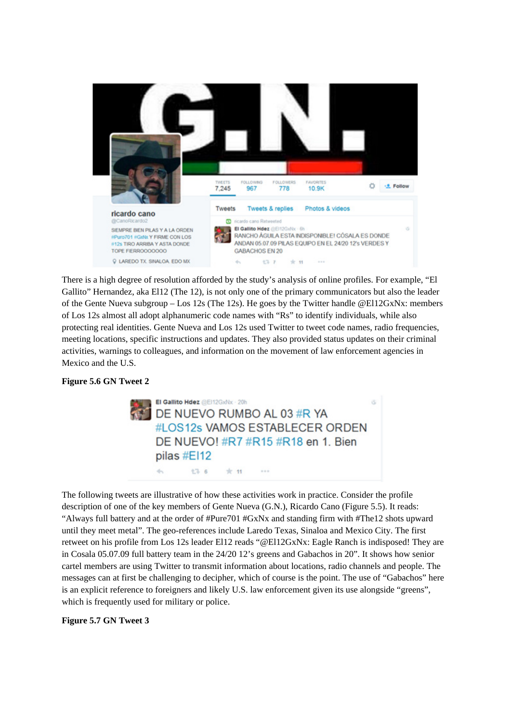

There is a high degree of resolution afforded by the study's analysis of online profiles. For example, "El Gallito" Hernandez, aka El12 (The 12), is not only one of the primary communicators but also the leader of the Gente Nueva subgroup – Los 12s (The 12s). He goes by the Twitter handle @El12GxNx: members of Los 12s almost all adopt alphanumeric code names with "Rs" to identify individuals, while also protecting real identities. Gente Nueva and Los 12s used Twitter to tweet code names, radio frequencies, meeting locations, specific instructions and updates. They also provided status updates on their criminal activities, warnings to colleagues, and information on the movement of law enforcement agencies in Mexico and the U.S.

## **Figure 5.6 GN Tweet 2**



The following tweets are illustrative of how these activities work in practice. Consider the profile description of one of the key members of Gente Nueva (G.N.), Ricardo Cano (Figure 5.5). It reads: "Always full battery and at the order of #Pure701 #GxNx and standing firm with #The12 shots upward until they meet metal". The geo-references include Laredo Texas, Sinaloa and Mexico City. The first retweet on his profile from Los 12s leader El12 reads "@El12GxNx: Eagle Ranch is indisposed! They are in Cosala 05.07.09 full battery team in the 24/20 12's greens and Gabachos in 20". It shows how senior cartel members are using Twitter to transmit information about locations, radio channels and people. The messages can at first be challenging to decipher, which of course is the point. The use of "Gabachos" here is an explicit reference to foreigners and likely U.S. law enforcement given its use alongside "greens", which is frequently used for military or police.

## **Figure 5.7 GN Tweet 3**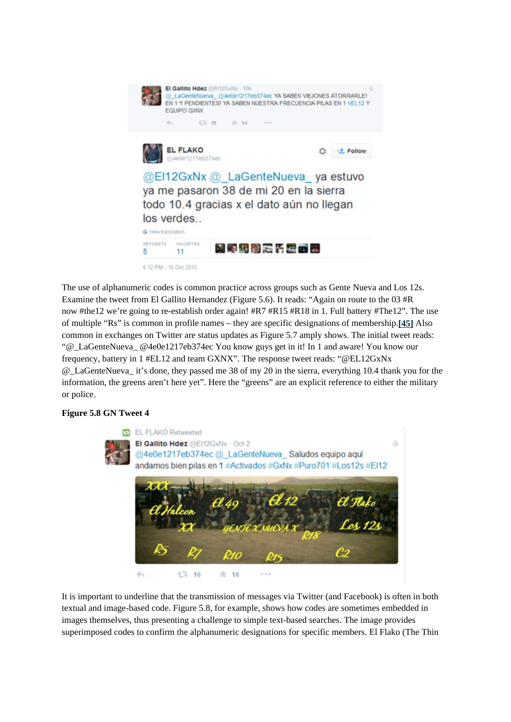

The use of alphanumeric codes is common practice across groups such as Gente Nueva and Los 12s. Examine the tweet from El Gallito Hernandez (Figure 5.6). It reads: "Again on route to the 03 #R now #the12 we're going to re-establish order again! #R7 #R15 #R18 in 1. Full battery #The12". The use of multiple "Rs" is common in profile names – they are specific designations of membership.**[45]** Also common in exchanges on Twitter are status updates as Figure 5.7 amply shows. The initial tweet reads: "@\_LaGenteNueva\_ @4e0e1217eb374ec You know guys get in it! In 1 and aware! You know our frequency, battery in 1 #EL12 and team GXNX". The response tweet reads: "@EL12GxNx @\_LaGenteNueva\_ it's done, they passed me 38 of my 20 in the sierra, everything 10.4 thank you for the information, the greens aren't here yet". Here the "greens" are an explicit reference to either the military or police.

## **Figure 5.8 GN Tweet 4**



It is important to underline that the transmission of messages via Twitter (and Facebook) is often in both textual and image-based code. Figure 5.8, for example, shows how codes are sometimes embedded in images themselves, thus presenting a challenge to simple text-based searches. The image provides superimposed codes to confirm the alphanumeric designations for specific members. El Flako (The Thin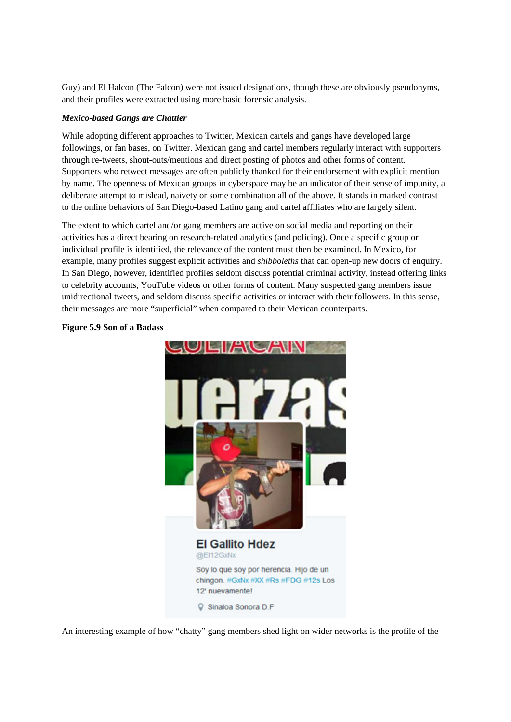Guy) and El Halcon (The Falcon) were not issued designations, though these are obviously pseudonyms, and their profiles were extracted using more basic forensic analysis.

## *Mexico-based Gangs are Chattier*

While adopting different approaches to Twitter, Mexican cartels and gangs have developed large followings, or fan bases, on Twitter. Mexican gang and cartel members regularly interact with supporters through re-tweets, shout-outs/mentions and direct posting of photos and other forms of content. Supporters who retweet messages are often publicly thanked for their endorsement with explicit mention by name. The openness of Mexican groups in cyberspace may be an indicator of their sense of impunity, a deliberate attempt to mislead, naivety or some combination all of the above. It stands in marked contrast to the online behaviors of San Diego-based Latino gang and cartel affiliates who are largely silent.

The extent to which cartel and/or gang members are active on social media and reporting on their activities has a direct bearing on research-related analytics (and policing). Once a specific group or individual profile is identified, the relevance of the content must then be examined. In Mexico, for example, many profiles suggest explicit activities and *shibboleths* that can open-up new doors of enquiry. In San Diego, however, identified profiles seldom discuss potential criminal activity, instead offering links to celebrity accounts, YouTube videos or other forms of content. Many suspected gang members issue unidirectional tweets, and seldom discuss specific activities or interact with their followers. In this sense, their messages are more "superficial" when compared to their Mexican counterparts.



#### **Figure 5.9 Son of a Badass**

An interesting example of how "chatty" gang members shed light on wider networks is the profile of the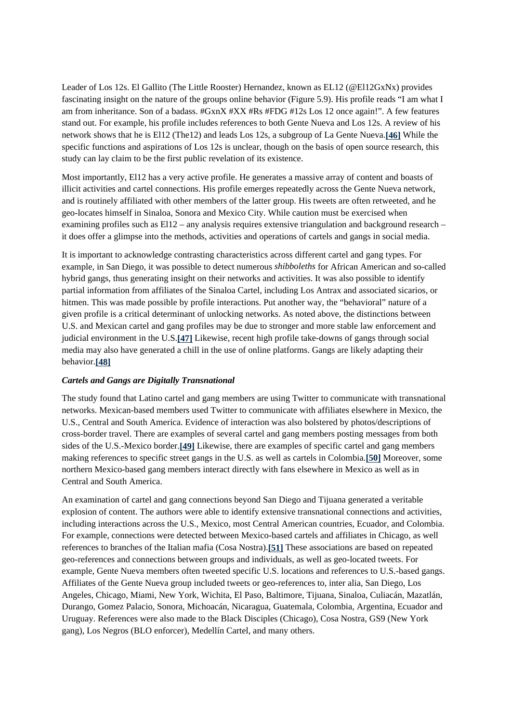Leader of Los 12s. El Gallito (The Little Rooster) Hernandez, known as EL12 (@El12GxNx) provides fascinating insight on the nature of the groups online behavior (Figure 5.9). His profile reads "I am what I am from inheritance. Son of a badass. #GxnX #XX #Rs #FDG #12s Los 12 once again!". A few features stand out. For example, his profile includes references to both Gente Nueva and Los 12s. A review of his network shows that he is El12 (The12) and leads Los 12s, a subgroup of La Gente Nueva.**[46]** While the specific functions and aspirations of Los 12s is unclear, though on the basis of open source research, this study can lay claim to be the first public revelation of its existence.

Most importantly, El12 has a very active profile. He generates a massive array of content and boasts of illicit activities and cartel connections. His profile emerges repeatedly across the Gente Nueva network, and is routinely affiliated with other members of the latter group. His tweets are often retweeted, and he geo-locates himself in Sinaloa, Sonora and Mexico City. While caution must be exercised when examining profiles such as El12 – any analysis requires extensive triangulation and background research – it does offer a glimpse into the methods, activities and operations of cartels and gangs in social media.

It is important to acknowledge contrasting characteristics across different cartel and gang types. For example, in San Diego, it was possible to detect numerous *shibboleths* for African American and so-called hybrid gangs, thus generating insight on their networks and activities. It was also possible to identify partial information from affiliates of the Sinaloa Cartel, including Los Antrax and associated sicarios, or hitmen. This was made possible by profile interactions. Put another way, the "behavioral" nature of a given profile is a critical determinant of unlocking networks. As noted above, the distinctions between U.S. and Mexican cartel and gang profiles may be due to stronger and more stable law enforcement and judicial environment in the U.S.**[47]** Likewise, recent high profile take-downs of gangs through social media may also have generated a chill in the use of online platforms. Gangs are likely adapting their behavior.**[48]**

#### *Cartels and Gangs are Digitally Transnational*

The study found that Latino cartel and gang members are using Twitter to communicate with transnational networks. Mexican-based members used Twitter to communicate with affiliates elsewhere in Mexico, the U.S., Central and South America. Evidence of interaction was also bolstered by photos/descriptions of cross-border travel. There are examples of several cartel and gang members posting messages from both sides of the U.S.-Mexico border.**[49]** Likewise, there are examples of specific cartel and gang members making references to specific street gangs in the U.S. as well as cartels in Colombia.**[50]** Moreover, some northern Mexico-based gang members interact directly with fans elsewhere in Mexico as well as in Central and South America.

An examination of cartel and gang connections beyond San Diego and Tijuana generated a veritable explosion of content. The authors were able to identify extensive transnational connections and activities, including interactions across the U.S., Mexico, most Central American countries, Ecuador, and Colombia. For example, connections were detected between Mexico-based cartels and affiliates in Chicago, as well references to branches of the Italian mafia (Cosa Nostra).**[51]** These associations are based on repeated geo-references and connections between groups and individuals, as well as geo-located tweets. For example, Gente Nueva members often tweeted specific U.S. locations and references to U.S.-based gangs. Affiliates of the Gente Nueva group included tweets or geo-references to, inter alia, San Diego, Los Angeles, Chicago, Miami, New York, Wichita, El Paso, Baltimore, Tijuana, Sinaloa, Culiacán, Mazatlán, Durango, Gomez Palacio, Sonora, Michoacán, Nicaragua, Guatemala, Colombia, Argentina, Ecuador and Uruguay. References were also made to the Black Disciples (Chicago), Cosa Nostra, GS9 (New York gang), Los Negros (BLO enforcer), Medellín Cartel, and many others.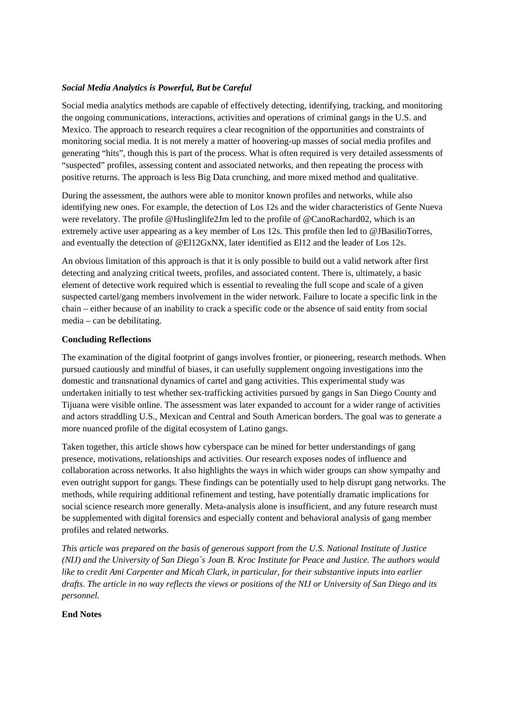## *Social Media Analytics is Powerful, But be Careful*

Social media analytics methods are capable of effectively detecting, identifying, tracking, and monitoring the ongoing communications, interactions, activities and operations of criminal gangs in the U.S. and Mexico. The approach to research requires a clear recognition of the opportunities and constraints of monitoring social media. It is not merely a matter of hoovering-up masses of social media profiles and generating "hits", though this is part of the process. What is often required is very detailed assessments of "suspected" profiles, assessing content and associated networks, and then repeating the process with positive returns. The approach is less Big Data crunching, and more mixed method and qualitative.

During the assessment, the authors were able to monitor known profiles and networks, while also identifying new ones. For example, the detection of Los 12s and the wider characteristics of Gente Nueva were revelatory. The profile @Huslinglife2Jm led to the profile of @CanoRachard02, which is an extremely active user appearing as a key member of Los 12s. This profile then led to @JBasilioTorres, and eventually the detection of @El12GxNX, later identified as El12 and the leader of Los 12s.

An obvious limitation of this approach is that it is only possible to build out a valid network after first detecting and analyzing critical tweets, profiles, and associated content. There is, ultimately, a basic element of detective work required which is essential to revealing the full scope and scale of a given suspected cartel/gang members involvement in the wider network. Failure to locate a specific link in the chain – either because of an inability to crack a specific code or the absence of said entity from social media – can be debilitating.

## **Concluding Reflections**

The examination of the digital footprint of gangs involves frontier, or pioneering, research methods. When pursued cautiously and mindful of biases, it can usefully supplement ongoing investigations into the domestic and transnational dynamics of cartel and gang activities. This experimental study was undertaken initially to test whether sex-trafficking activities pursued by gangs in San Diego County and Tijuana were visible online. The assessment was later expanded to account for a wider range of activities and actors straddling U.S., Mexican and Central and South American borders. The goal was to generate a more nuanced profile of the digital ecosystem of Latino gangs.

Taken together, this article shows how cyberspace can be mined for better understandings of gang presence, motivations, relationships and activities. Our research exposes nodes of influence and collaboration across networks. It also highlights the ways in which wider groups can show sympathy and even outright support for gangs. These findings can be potentially used to help disrupt gang networks. The methods, while requiring additional refinement and testing, have potentially dramatic implications for social science research more generally. Meta-analysis alone is insufficient, and any future research must be supplemented with digital forensics and especially content and behavioral analysis of gang member profiles and related networks.

*This article was prepared on the basis of generous support from the U.S. National Institute of Justice (NIJ) and the University of San Diego´s Joan B. Kroc Institute for Peace and Justice. The authors would like to credit Ami Carpenter and Micah Clark, in particular, for their substantive inputs into earlier drafts. The article in no way reflects the views or positions of the NIJ or University of San Diego and its personnel.*

## **End Notes**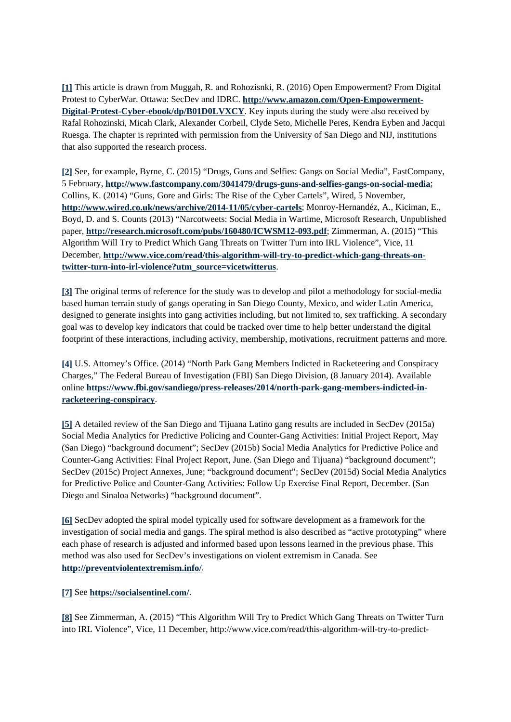**[1]** This article is drawn from Muggah, R. and Rohozisnki, R. (2016) Open Empowerment? From Digital Protest to CyberWar. Ottawa: SecDev and IDRC. **http://www.amazon.com/Open-Empowerment-Digital-Protest-Cyber-ebook/dp/B01D0LVXCY**. Key inputs during the study were also received by Rafal Rohozinski, Micah Clark, Alexander Corbeil, Clyde Seto, Michelle Peres, Kendra Eyben and Jacqui Ruesga. The chapter is reprinted with permission from the University of San Diego and NIJ, institutions that also supported the research process.

**[2]** See, for example, Byrne, C. (2015) "Drugs, Guns and Selfies: Gangs on Social Media", FastCompany, 5 February, **http://www.fastcompany.com/3041479/drugs-guns-and-selfies-gangs-on-social-media**; Collins, K. (2014) "Guns, Gore and Girls: The Rise of the Cyber Cartels", Wired, 5 November, **http://www.wired.co.uk/news/archive/2014-11/05/cyber-cartels**; Monroy-Hernandéz, A., Kiciman, E., Boyd, D. and S. Counts (2013) "Narcotweets: Social Media in Wartime, Microsoft Research, Unpublished paper, **http://research.microsoft.com/pubs/160480/ICWSM12-093.pdf**; Zimmerman, A. (2015) "This Algorithm Will Try to Predict Which Gang Threats on Twitter Turn into IRL Violence", Vice, 11 December, **http://www.vice.com/read/this-algorithm-will-try-to-predict-which-gang-threats-ontwitter-turn-into-irl-violence?utm\_source=vicetwitterus**.

**[3]** The original terms of reference for the study was to develop and pilot a methodology for social-media based human terrain study of gangs operating in San Diego County, Mexico, and wider Latin America, designed to generate insights into gang activities including, but not limited to, sex trafficking. A secondary goal was to develop key indicators that could be tracked over time to help better understand the digital footprint of these interactions, including activity, membership, motivations, recruitment patterns and more.

**[4]** U.S. Attorney's Office. (2014) "North Park Gang Members Indicted in Racketeering and Conspiracy Charges," The Federal Bureau of Investigation (FBI) San Diego Division, (8 January 2014). Available online **https://www.fbi.gov/sandiego/press-releases/2014/north-park-gang-members-indicted-inracketeering-conspiracy**.

**[5]** A detailed review of the San Diego and Tijuana Latino gang results are included in SecDev (2015a) Social Media Analytics for Predictive Policing and Counter-Gang Activities: Initial Project Report, May (San Diego) "background document"; SecDev (2015b) Social Media Analytics for Predictive Police and Counter-Gang Activities: Final Project Report, June. (San Diego and Tijuana) "background document"; SecDev (2015c) Project Annexes, June; "background document"; SecDev (2015d) Social Media Analytics for Predictive Police and Counter-Gang Activities: Follow Up Exercise Final Report, December. (San Diego and Sinaloa Networks) "background document".

**[6]** SecDev adopted the spiral model typically used for software development as a framework for the investigation of social media and gangs. The spiral method is also described as "active prototyping" where each phase of research is adjusted and informed based upon lessons learned in the previous phase. This method was also used for SecDev's investigations on violent extremism in Canada. See **http://preventviolentextremism.info/**.

## **[7]** See **https://socialsentinel.com/**.

**[8]** See Zimmerman, A. (2015) "This Algorithm Will Try to Predict Which Gang Threats on Twitter Turn into IRL Violence", Vice, 11 December, http://www.vice.com/read/this-algorithm-will-try-to-predict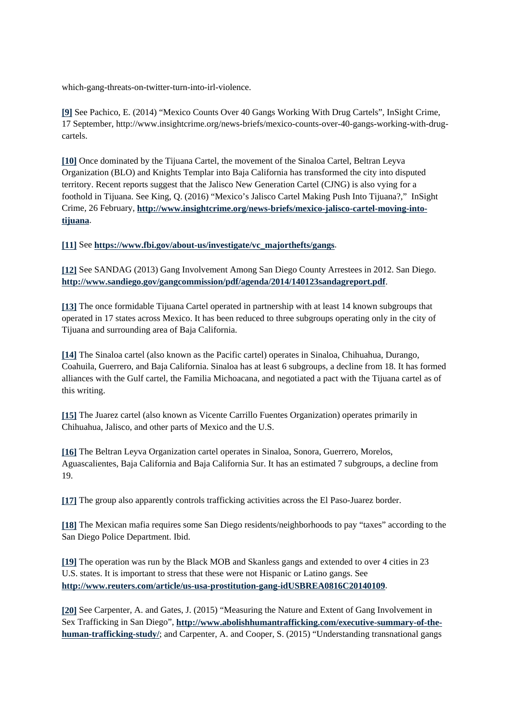which-gang-threats-on-twitter-turn-into-irl-violence.

**[9]** See Pachico, E. (2014) "Mexico Counts Over 40 Gangs Working With Drug Cartels", InSight Crime, 17 September, http://www.insightcrime.org/news-briefs/mexico-counts-over-40-gangs-working-with-drugcartels.

**[10]** Once dominated by the Tijuana Cartel, the movement of the Sinaloa Cartel, Beltran Leyva Organization (BLO) and Knights Templar into Baja California has transformed the city into disputed territory. Recent reports suggest that the Jalisco New Generation Cartel (CJNG) is also vying for a foothold in Tijuana. See King, Q. (2016) "Mexico's Jalisco Cartel Making Push Into Tijuana?," InSight Crime, 26 February, **http://www.insightcrime.org/news-briefs/mexico-jalisco-cartel-moving-intotijuana**.

**[11]** See **https://www.fbi.gov/about-us/investigate/vc\_majorthefts/gangs**.

**[12]** See SANDAG (2013) Gang Involvement Among San Diego County Arrestees in 2012. San Diego. **http://www.sandiego.gov/gangcommission/pdf/agenda/2014/140123sandagreport.pdf**.

**[13]** The once formidable Tijuana Cartel operated in partnership with at least 14 known subgroups that operated in 17 states across Mexico. It has been reduced to three subgroups operating only in the city of Tijuana and surrounding area of Baja California.

**[14]** The Sinaloa cartel (also known as the Pacific cartel) operates in Sinaloa, Chihuahua, Durango, Coahuila, Guerrero, and Baja California. Sinaloa has at least 6 subgroups, a decline from 18. It has formed alliances with the Gulf cartel, the Familia Michoacana, and negotiated a pact with the Tijuana cartel as of this writing.

**[15]** The Juarez cartel (also known as Vicente Carrillo Fuentes Organization) operates primarily in Chihuahua, Jalisco, and other parts of Mexico and the U.S.

**[16]** The Beltran Leyva Organization cartel operates in Sinaloa, Sonora, Guerrero, Morelos, Aguascalientes, Baja California and Baja California Sur. It has an estimated 7 subgroups, a decline from 19.

**[17]** The group also apparently controls trafficking activities across the El Paso-Juarez border.

**[18]** The Mexican mafia requires some San Diego residents/neighborhoods to pay "taxes" according to the San Diego Police Department. Ibid.

**[19]** The operation was run by the Black MOB and Skanless gangs and extended to over 4 cities in 23 U.S. states. It is important to stress that these were not Hispanic or Latino gangs. See **http://www.reuters.com/article/us-usa-prostitution-gang-idUSBREA0816C20140109**.

**[20]** See Carpenter, A. and Gates, J. (2015) "Measuring the Nature and Extent of Gang Involvement in Sex Trafficking in San Diego", **http://www.abolishhumantrafficking.com/executive-summary-of-thehuman-trafficking-study/**; and Carpenter, A. and Cooper, S. (2015) "Understanding transnational gangs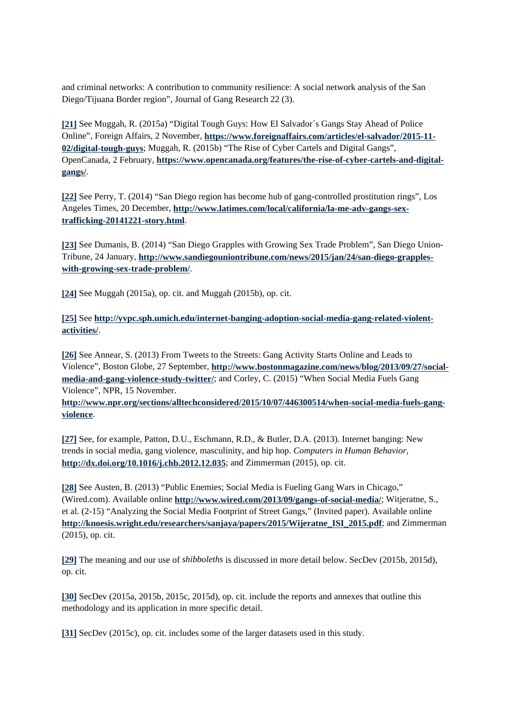and criminal networks: A contribution to community resilience: A social network analysis of the San Diego/Tijuana Border region", Journal of Gang Research 22 (3).

**[21]** See Muggah, R. (2015a) "Digital Tough Guys: How El Salvador´s Gangs Stay Ahead of Police Online", Foreign Affairs, 2 November, **https://www.foreignaffairs.com/articles/el-salvador/2015-11- 02/digital-tough-guys**; Muggah, R. (2015b) "The Rise of Cyber Cartels and Digital Gangs", OpenCanada, 2 February, **https://www.opencanada.org/features/the-rise-of-cyber-cartels-and-digitalgangs/**.

**[22]** See Perry, T. (2014) "San Diego region has become hub of gang-controlled prostitution rings", Los Angeles Times, 20 December, **http://www.latimes.com/local/california/la-me-adv-gangs-sextrafficking-20141221-story.html**.

**[23]** See Dumanis, B. (2014) "San Diego Grapples with Growing Sex Trade Problem", San Diego Union-Tribune, 24 January, **http://www.sandiegouniontribune.com/news/2015/jan/24/san-diego-grappleswith-growing-sex-trade-problem/**.

**[24]** See Muggah (2015a), op. cit. and Muggah (2015b), op. cit.

**[25]** See **http://yvpc.sph.umich.edu/internet-banging-adoption-social-media-gang-related-violentactivities/**.

**[26]** See Annear, S. (2013) From Tweets to the Streets: Gang Activity Starts Online and Leads to Violence", Boston Globe, 27 September, **http://www.bostonmagazine.com/news/blog/2013/09/27/socialmedia-and-gang-violence-study-twitter/**; and Corley, C. (2015) "When Social Media Fuels Gang Violence", NPR, 15 November.

**http://www.npr.org/sections/alltechconsidered/2015/10/07/446300514/when-social-media-fuels-gangviolence**.

**[27]** See, for example, Patton, D.U., Eschmann, R.D., & Butler, D.A. (2013). Internet banging: New trends in social media, gang violence, masculinity, and hip hop. *Computers in Human Behavior*, **http://dx.doi.org/10.1016/j.chb.2012.12.035**; and Zimmerman (2015), op. cit.

**[28]** See Austen, B. (2013) "Public Enemies; Social Media is Fueling Gang Wars in Chicago," (Wired.com). Available online **http://www.wired.com/2013/09/gangs-of-social-media/**; Witjeratne, S., et al. (2-15) "Analyzing the Social Media Footprint of Street Gangs," (Invited paper). Available online **http://knoesis.wright.edu/researchers/sanjaya/papers/2015/Wijeratne\_ISI\_2015.pdf**; and Zimmerman (2015), op. cit.

**[29]** The meaning and our use of *shibboleths* is discussed in more detail below. SecDev (2015b, 2015d), op. cit.

**[30]** SecDev (2015a, 2015b, 2015c, 2015d), op. cit. include the reports and annexes that outline this methodology and its application in more specific detail.

**[31]** SecDev (2015c), op. cit. includes some of the larger datasets used in this study.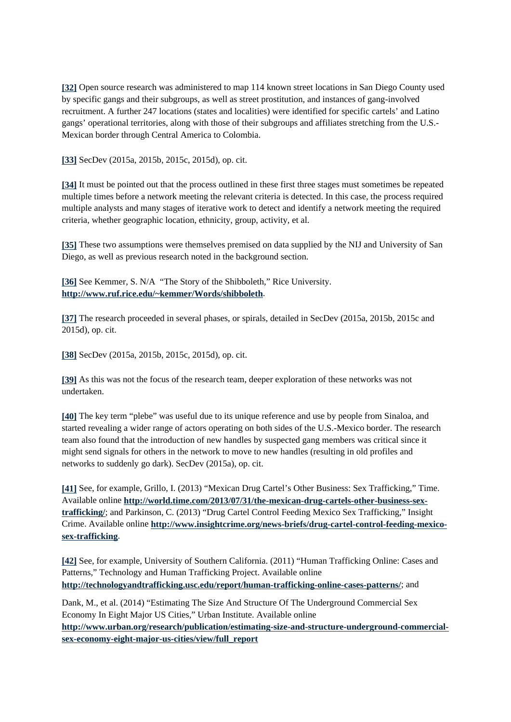**[32]** Open source research was administered to map 114 known street locations in San Diego County used by specific gangs and their subgroups, as well as street prostitution, and instances of gang-involved recruitment. A further 247 locations (states and localities) were identified for specific cartels' and Latino gangs' operational territories, along with those of their subgroups and affiliates stretching from the U.S.- Mexican border through Central America to Colombia.

**[33]** SecDev (2015a, 2015b, 2015c, 2015d), op. cit.

**[34]** It must be pointed out that the process outlined in these first three stages must sometimes be repeated multiple times before a network meeting the relevant criteria is detected. In this case, the process required multiple analysts and many stages of iterative work to detect and identify a network meeting the required criteria, whether geographic location, ethnicity, group, activity, et al.

**[35]** These two assumptions were themselves premised on data supplied by the NIJ and University of San Diego, as well as previous research noted in the background section.

**[36]** See Kemmer, S. N/A "The Story of the Shibboleth," Rice University. **http://www.ruf.rice.edu/~kemmer/Words/shibboleth**.

**[37]** The research proceeded in several phases, or spirals, detailed in SecDev (2015a, 2015b, 2015c and 2015d), op. cit.

**[38]** SecDev (2015a, 2015b, 2015c, 2015d), op. cit.

**[39]** As this was not the focus of the research team, deeper exploration of these networks was not undertaken.

**[40]** The key term "plebe" was useful due to its unique reference and use by people from Sinaloa, and started revealing a wider range of actors operating on both sides of the U.S.-Mexico border. The research team also found that the introduction of new handles by suspected gang members was critical since it might send signals for others in the network to move to new handles (resulting in old profiles and networks to suddenly go dark). SecDev (2015a), op. cit.

**[41]** See, for example, Grillo, I. (2013) "Mexican Drug Cartel's Other Business: Sex Trafficking," Time. Available online **http://world.time.com/2013/07/31/the-mexican-drug-cartels-other-business-sextrafficking/**; and Parkinson, C. (2013) "Drug Cartel Control Feeding Mexico Sex Trafficking," Insight Crime. Available online **http://www.insightcrime.org/news-briefs/drug-cartel-control-feeding-mexicosex-trafficking**.

**[42]** See, for example, University of Southern California. (2011) "Human Trafficking Online: Cases and Patterns," Technology and Human Trafficking Project. Available online **http://technologyandtrafficking.usc.edu/report/human-trafficking-online-cases-patterns/**; and

Dank, M., et al. (2014) "Estimating The Size And Structure Of The Underground Commercial Sex Economy In Eight Major US Cities," Urban Institute. Available online **http://www.urban.org/research/publication/estimating-size-and-structure-underground-commercialsex-economy-eight-major-us-cities/view/full\_report**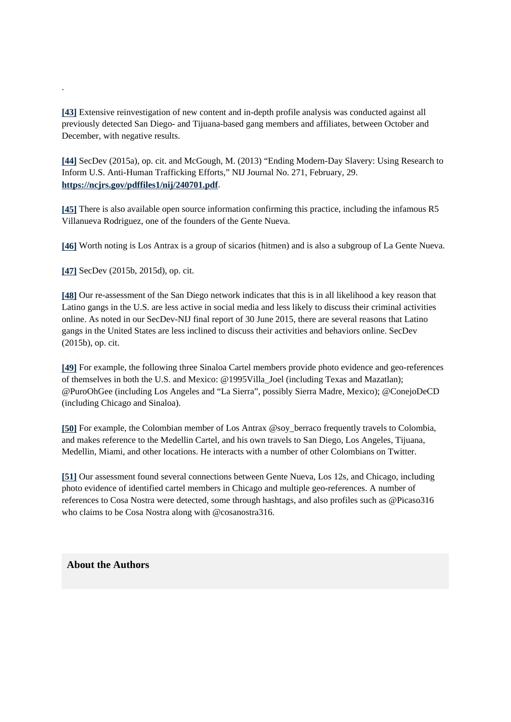**[43]** Extensive reinvestigation of new content and in-depth profile analysis was conducted against all previously detected San Diego- and Tijuana-based gang members and affiliates, between October and December, with negative results.

**[44]** SecDev (2015a), op. cit. and McGough, M. (2013) "Ending Modern-Day Slavery: Using Research to Inform U.S. Anti-Human Trafficking Efforts," NIJ Journal No. 271, February, 29. **https://ncjrs.gov/pdffiles1/nij/240701.pdf**.

**[45]** There is also available open source information confirming this practice, including the infamous R5 Villanueva Rodriguez, one of the founders of the Gente Nueva.

**[46]** Worth noting is Los Antrax is a group of sicarios (hitmen) and is also a subgroup of La Gente Nueva.

**[47]** SecDev (2015b, 2015d), op. cit.

.

**[48]** Our re-assessment of the San Diego network indicates that this is in all likelihood a key reason that Latino gangs in the U.S. are less active in social media and less likely to discuss their criminal activities online. As noted in our SecDev-NIJ final report of 30 June 2015, there are several reasons that Latino gangs in the United States are less inclined to discuss their activities and behaviors online. SecDev (2015b), op. cit.

**[49]** For example, the following three Sinaloa Cartel members provide photo evidence and geo-references of themselves in both the U.S. and Mexico: @1995Villa\_Joel (including Texas and Mazatlan); @PuroOhGee (including Los Angeles and "La Sierra", possibly Sierra Madre, Mexico); @ConejoDeCD (including Chicago and Sinaloa).

**[50]** For example, the Colombian member of Los Antrax @soy\_berraco frequently travels to Colombia, and makes reference to the Medellin Cartel, and his own travels to San Diego, Los Angeles, Tijuana, Medellin, Miami, and other locations. He interacts with a number of other Colombians on Twitter.

**[51]** Our assessment found several connections between Gente Nueva, Los 12s, and Chicago, including photo evidence of identified cartel members in Chicago and multiple geo-references. A number of references to Cosa Nostra were detected, some through hashtags, and also profiles such as @Picaso316 who claims to be Cosa Nostra along with @cosanostra316.

**About the Authors**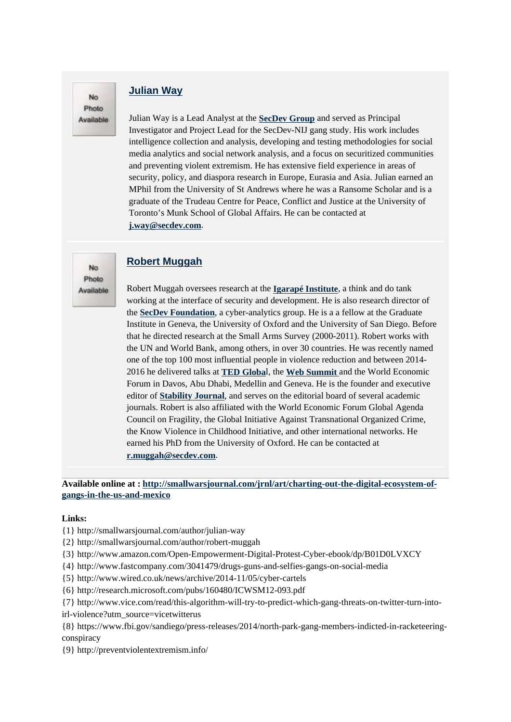# No Photo Available

No Photo Available

# **Julian Way**

Julian Way is a Lead Analyst at the **SecDev Group** and served as Principal Investigator and Project Lead for the SecDev-NIJ gang study. His work includes intelligence collection and analysis, developing and testing methodologies for social media analytics and social network analysis, and a focus on securitized communities and preventing violent extremism. He has extensive field experience in areas of security, policy, and diaspora research in Europe, Eurasia and Asia. Julian earned an MPhil from the University of St Andrews where he was a Ransome Scholar and is a graduate of the Trudeau Centre for Peace, Conflict and Justice at the University of Toronto's Munk School of Global Affairs. He can be contacted at **j.way@secdev.com**.

# **Robert Muggah**

Robert Muggah oversees research at the **Igarapé Institute**, a think and do tank working at the interface of security and development. He is also research director of the **SecDev Foundation**, a cyber-analytics group. He is a a fellow at the Graduate Institute in Geneva, the University of Oxford and the University of San Diego. Before that he directed research at the Small Arms Survey (2000-2011). Robert works with the UN and World Bank, among others, in over 30 countries. He was recently named one of the top 100 most influential people in violence reduction and between 2014- 2016 he delivered talks at **TED Globa**l, the **Web Summit** and the World Economic Forum in Davos, Abu Dhabi, Medellin and Geneva. He is the founder and executive editor of **Stability Journal**, and serves on the editorial board of several academic journals. Robert is also affiliated with the World Economic Forum Global Agenda Council on Fragility, the Global Initiative Against Transnational Organized Crime, the Know Violence in Childhood Initiative, and other international networks. He earned his PhD from the University of Oxford. He can be contacted at **r.muggah@secdev.com**.

## **Available online at : http://smallwarsjournal.com/jrnl/art/charting-out-the-digital-ecosystem-ofgangs-in-the-us-and-mexico**

#### **Links:**

- {1} http://smallwarsjournal.com/author/julian-way
- {2} http://smallwarsjournal.com/author/robert-muggah
- {3} http://www.amazon.com/Open-Empowerment-Digital-Protest-Cyber-ebook/dp/B01D0LVXCY
- {4} http://www.fastcompany.com/3041479/drugs-guns-and-selfies-gangs-on-social-media
- {5} http://www.wired.co.uk/news/archive/2014-11/05/cyber-cartels
- {6} http://research.microsoft.com/pubs/160480/ICWSM12-093.pdf
- {7} http://www.vice.com/read/this-algorithm-will-try-to-predict-which-gang-threats-on-twitter-turn-into-
- irl-violence?utm\_source=vicetwitterus
- {8} https://www.fbi.gov/sandiego/press-releases/2014/north-park-gang-members-indicted-in-racketeeringconspiracy
- {9} http://preventviolentextremism.info/